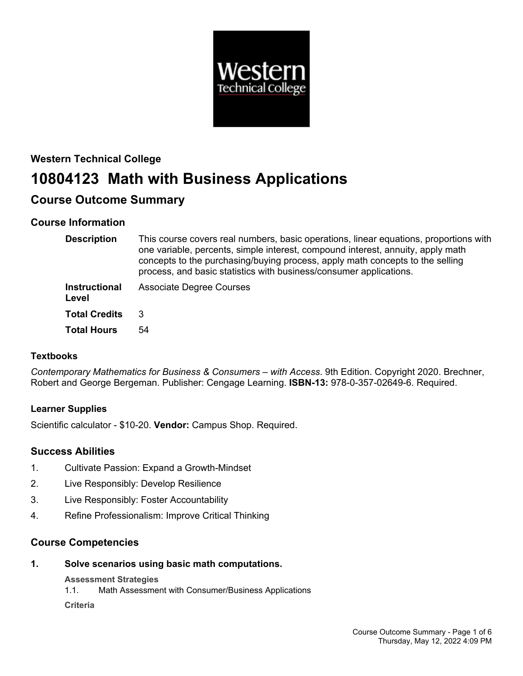

# **Western Technical College 10804123 Math with Business Applications**

# **Course Outcome Summary**

# **Course Information**

| <b>Description</b>            | This course covers real numbers, basic operations, linear equations, proportions with<br>one variable, percents, simple interest, compound interest, annuity, apply math<br>concepts to the purchasing/buying process, apply math concepts to the selling<br>process, and basic statistics with business/consumer applications. |
|-------------------------------|---------------------------------------------------------------------------------------------------------------------------------------------------------------------------------------------------------------------------------------------------------------------------------------------------------------------------------|
| <b>Instructional</b><br>Level | <b>Associate Degree Courses</b>                                                                                                                                                                                                                                                                                                 |
| <b>Total Credits</b>          | 3                                                                                                                                                                                                                                                                                                                               |
| <b>Total Hours</b>            | 54                                                                                                                                                                                                                                                                                                                              |

# **Textbooks**

*Contemporary Mathematics for Business & Consumers – with Access*. 9th Edition. Copyright 2020. Brechner, Robert and George Bergeman. Publisher: Cengage Learning. **ISBN-13:** 978-0-357-02649-6. Required.

# **Learner Supplies**

Scientific calculator - \$10-20. **Vendor:** Campus Shop. Required.

# **Success Abilities**

- 1. Cultivate Passion: Expand a Growth-Mindset
- 2. Live Responsibly: Develop Resilience
- 3. Live Responsibly: Foster Accountability
- 4. Refine Professionalism: Improve Critical Thinking

# **Course Competencies**

**1. Solve scenarios using basic math computations.**

# **Assessment Strategies**

1.1. Math Assessment with Consumer/Business Applications

**Criteria**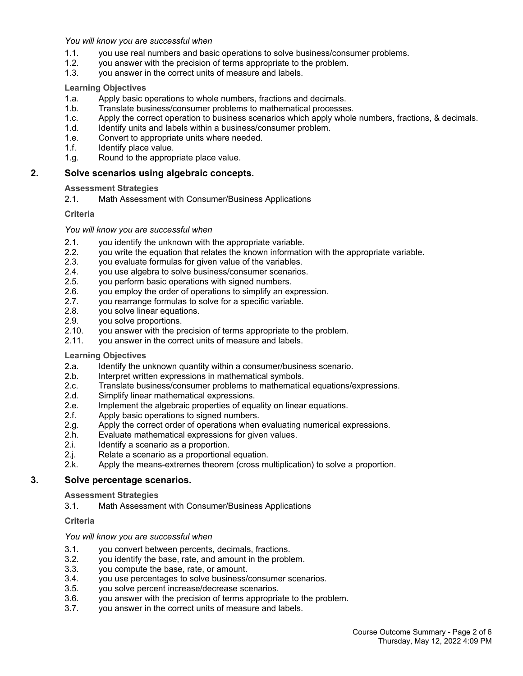#### *You will know you are successful when*

- 1.1. you use real numbers and basic operations to solve business/consumer problems.
- 1.2. you answer with the precision of terms appropriate to the problem.
- 1.3. you answer in the correct units of measure and labels.

#### **Learning Objectives**

- 1.a. Apply basic operations to whole numbers, fractions and decimals.
- 1.b. Translate business/consumer problems to mathematical processes.
- 1.c. Apply the correct operation to business scenarios which apply whole numbers, fractions, & decimals.
- 1.d. Identify units and labels within a business/consumer problem.
- 1.e. Convert to appropriate units where needed.
- 1.f. Identify place value.
- 1.g. Round to the appropriate place value.

#### **2. Solve scenarios using algebraic concepts.**

#### **Assessment Strategies**

2.1. Math Assessment with Consumer/Business Applications

#### **Criteria**

#### *You will know you are successful when*

- 2.1. you identify the unknown with the appropriate variable.
- 2.2. you write the equation that relates the known information with the appropriate variable.
- 2.3. you evaluate formulas for given value of the variables.
- 2.4. you use algebra to solve business/consumer scenarios.
- 2.5. you perform basic operations with signed numbers.
- 2.6. you employ the order of operations to simplify an expression.<br>2.7. vou rearrange formulas to solve for a specific variable.
- you rearrange formulas to solve for a specific variable.
- 2.8. you solve linear equations.
- 2.9. you solve proportions.
- 2.10. you answer with the precision of terms appropriate to the problem.
- 2.11. you answer in the correct units of measure and labels.

#### **Learning Objectives**

- 2.a. Identify the unknown quantity within a consumer/business scenario.
- 2.b. Interpret written expressions in mathematical symbols.
- 2.c. Translate business/consumer problems to mathematical equations/expressions.
- 2.d. Simplify linear mathematical expressions.
- 2.e. Implement the algebraic properties of equality on linear equations.
- 2.f. Apply basic operations to signed numbers.
- 2.g. Apply the correct order of operations when evaluating numerical expressions.
- 2.h. Evaluate mathematical expressions for given values.
- 2.i. Identify a scenario as a proportion.
- 2.j. Relate a scenario as a proportional equation.
- 2.k. Apply the means-extremes theorem (cross multiplication) to solve a proportion.

#### **3. Solve percentage scenarios.**

#### **Assessment Strategies**

3.1. Math Assessment with Consumer/Business Applications

#### **Criteria**

- 3.1. you convert between percents, decimals, fractions.
- 3.2. you identify the base, rate, and amount in the problem.
- 3.3. you compute the base, rate, or amount.
- 3.4. you use percentages to solve business/consumer scenarios.
- 3.5. you solve percent increase/decrease scenarios.
- 3.6. you answer with the precision of terms appropriate to the problem.
- 3.7. you answer in the correct units of measure and labels.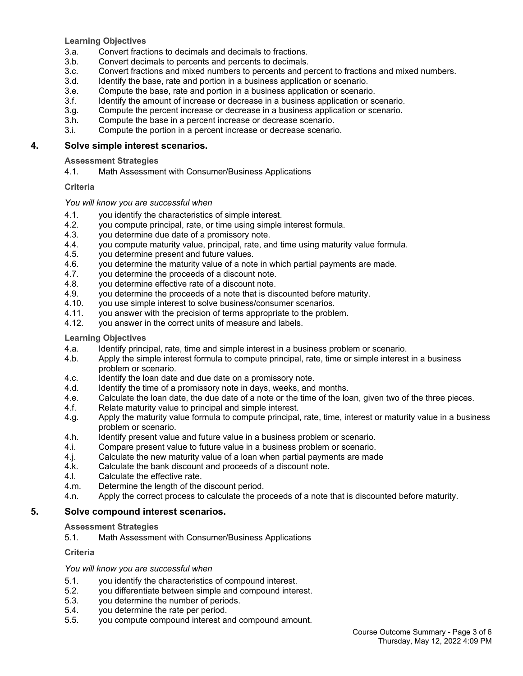- 3.a. Convert fractions to decimals and decimals to fractions.
- 3.b. Convert decimals to percents and percents to decimals.
- 3.c. Convert fractions and mixed numbers to percents and percent to fractions and mixed numbers.
- 3.d. Identify the base, rate and portion in a business application or scenario.
- 3.e. Compute the base, rate and portion in a business application or scenario.
- 3.f. Identify the amount of increase or decrease in a business application or scenario.
- 3.g. Compute the percent increase or decrease in a business application or scenario.
- 3.h. Compute the base in a percent increase or decrease scenario.
- 3.i. Compute the portion in a percent increase or decrease scenario.

## **4. Solve simple interest scenarios.**

#### **Assessment Strategies**

4.1. Math Assessment with Consumer/Business Applications

#### **Criteria**

#### *You will know you are successful when*

- 4.1. you identify the characteristics of simple interest.<br>4.2. vou compute principal, rate, or time using simple
- you compute principal, rate, or time using simple interest formula.
- 4.3. you determine due date of a promissory note.
- 4.4. you compute maturity value, principal, rate, and time using maturity value formula.
- 4.5. you determine present and future values.
- 4.6. you determine the maturity value of a note in which partial payments are made.
- 4.7. you determine the proceeds of a discount note.
- 4.8. you determine effective rate of a discount note.
- 4.9. you determine the proceeds of a note that is discounted before maturity.
- 4.10. you use simple interest to solve business/consumer scenarios.
- 4.11. you answer with the precision of terms appropriate to the problem.
- 4.12. you answer in the correct units of measure and labels.

## **Learning Objectives**

- 4.a. Identify principal, rate, time and simple interest in a business problem or scenario.
- 4.b. Apply the simple interest formula to compute principal, rate, time or simple interest in a business problem or scenario.
- 4.c. Identify the loan date and due date on a promissory note.
- 4.d. Identify the time of a promissory note in days, weeks, and months.
- 4.e. Calculate the loan date, the due date of a note or the time of the loan, given two of the three pieces.
- 4.f. Relate maturity value to principal and simple interest.
- 4.g. Apply the maturity value formula to compute principal, rate, time, interest or maturity value in a business problem or scenario.
- 4.h. **Identify present value and future value in a business problem or scenario.**
- 4.i. Compare present value to future value in a business problem or scenario.
- 4.j. Calculate the new maturity value of a loan when partial payments are made
- 4.k. Calculate the bank discount and proceeds of a discount note.
- 
- 4.l. Calculate the effective rate.<br>4.m. Determine the length of the Determine the length of the discount period.
- 4.n. Apply the correct process to calculate the proceeds of a note that is discounted before maturity.

# **5. Solve compound interest scenarios.**

# **Assessment Strategies**

5.1. Math Assessment with Consumer/Business Applications

# **Criteria**

- 5.1. you identify the characteristics of compound interest.
- 5.2. you differentiate between simple and compound interest.
- 5.3. you determine the number of periods.
- 5.4. you determine the rate per period.
- 5.5. you compute compound interest and compound amount.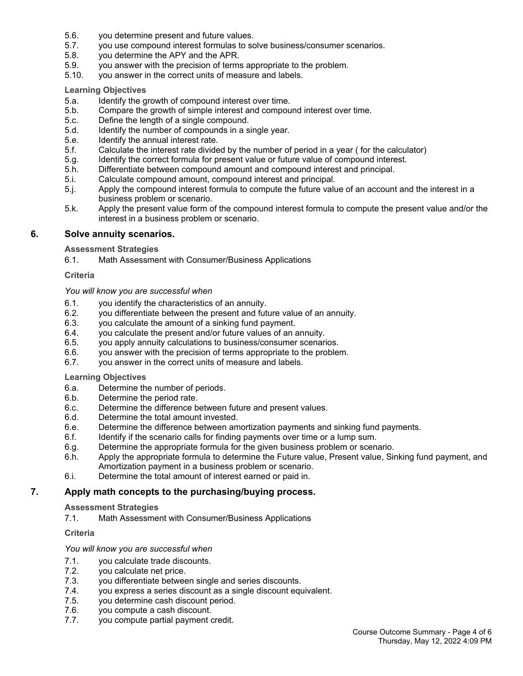- 5.6. you determine present and future values.
- 5.7. you use compound interest formulas to solve business/consumer scenarios.
- 5.8. you determine the APY and the APR.
- 5.9. you answer with the precision of terms appropriate to the problem.
- 5.10. you answer in the correct units of measure and labels.

- 5.a. Identify the growth of compound interest over time.
- 5.b. Compare the growth of simple interest and compound interest over time.
- 5.c. Define the length of a single compound.
- 5.d. Identify the number of compounds in a single year.
- 5.e. Identify the annual interest rate.
- 5.f. Calculate the interest rate divided by the number of period in a year ( for the calculator)
- 5.g. Identify the correct formula for present value or future value of compound interest.
- 5.h. Differentiate between compound amount and compound interest and principal.
- 5.i. Calculate compound amount, compound interest and principal.
- 5.j. Apply the compound interest formula to compute the future value of an account and the interest in a business problem or scenario.
- 5.k. Apply the present value form of the compound interest formula to compute the present value and/or the interest in a business problem or scenario.

## **6. Solve annuity scenarios.**

#### **Assessment Strategies**

6.1. Math Assessment with Consumer/Business Applications

#### **Criteria**

#### *You will know you are successful when*

- 6.1. you identify the characteristics of an annuity.
- 6.2. you differentiate between the present and future value of an annuity.
- 6.3. you calculate the amount of a sinking fund payment.
- 6.4. you calculate the present and/or future values of an annuity.
- 6.5. you apply annuity calculations to business/consumer scenarios.
- 6.6. you answer with the precision of terms appropriate to the problem.
- 6.7. you answer in the correct units of measure and labels.

#### **Learning Objectives**

- 6.a. Determine the number of periods.
- 6.b. Determine the period rate.
- 6.c. Determine the difference between future and present values.
- 6.d. Determine the total amount invested.
- 6.e. Determine the difference between amortization payments and sinking fund payments.
- 6.f. Identify if the scenario calls for finding payments over time or a lump sum.
- 6.g. Determine the appropriate formula for the given business problem or scenario.
- 6.h. Apply the appropriate formula to determine the Future value, Present value, Sinking fund payment, and Amortization payment in a business problem or scenario.
- 6.i. Determine the total amount of interest earned or paid in.

# **7. Apply math concepts to the purchasing/buying process.**

# **Assessment Strategies**

7.1. Math Assessment with Consumer/Business Applications

# **Criteria**

- 7.1. you calculate trade discounts.
- 7.2. you calculate net price.
- 7.3. you differentiate between single and series discounts.
- 7.4. you express a series discount as a single discount equivalent.
- 7.5. you determine cash discount period.
- 7.6. you compute a cash discount.
- 7.7. you compute partial payment credit.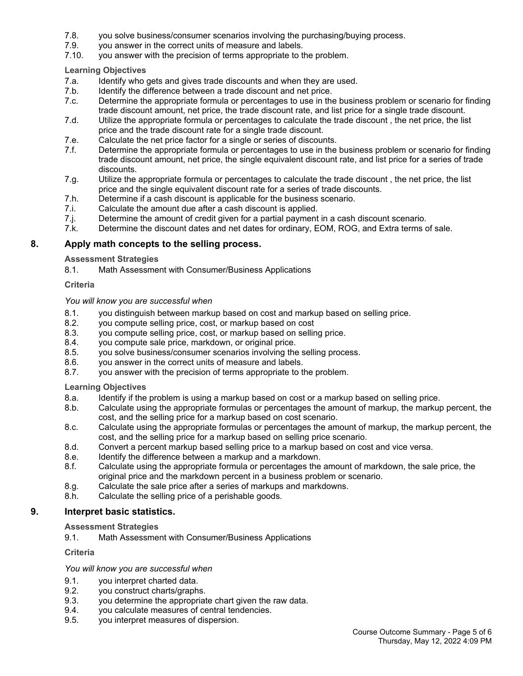- 7.8. you solve business/consumer scenarios involving the purchasing/buying process.
- 7.9. you answer in the correct units of measure and labels.
- 7.10. you answer with the precision of terms appropriate to the problem.

- 7.a. Identify who gets and gives trade discounts and when they are used.
- 7.b. Identify the difference between a trade discount and net price.
- 7.c. Determine the appropriate formula or percentages to use in the business problem or scenario for finding trade discount amount, net price, the trade discount rate, and list price for a single trade discount.
- 7.d. Utilize the appropriate formula or percentages to calculate the trade discount , the net price, the list price and the trade discount rate for a single trade discount.
- 7.e. Calculate the net price factor for a single or series of discounts.
- 7.f. Determine the appropriate formula or percentages to use in the business problem or scenario for finding trade discount amount, net price, the single equivalent discount rate, and list price for a series of trade discounts.
- 7.g. Utilize the appropriate formula or percentages to calculate the trade discount , the net price, the list price and the single equivalent discount rate for a series of trade discounts.
- 7.h. Determine if a cash discount is applicable for the business scenario.
- 7.i. Calculate the amount due after a cash discount is applied.
- 7.j. Determine the amount of credit given for a partial payment in a cash discount scenario.
- 7.k. Determine the discount dates and net dates for ordinary, EOM, ROG, and Extra terms of sale.

# **8. Apply math concepts to the selling process.**

#### **Assessment Strategies**

8.1. Math Assessment with Consumer/Business Applications

#### **Criteria**

#### *You will know you are successful when*

- 8.1. you distinguish between markup based on cost and markup based on selling price.
- 8.2. you compute selling price, cost, or markup based on cost
- 8.3. you compute selling price, cost, or markup based on selling price.
- 8.4. you compute sale price, markdown, or original price.
- 8.5. you solve business/consumer scenarios involving the selling process.
- 8.6. you answer in the correct units of measure and labels.
- 8.7. you answer with the precision of terms appropriate to the problem.

#### **Learning Objectives**

- 8.a. Identify if the problem is using a markup based on cost or a markup based on selling price.
- 8.b. Calculate using the appropriate formulas or percentages the amount of markup, the markup percent, the cost, and the selling price for a markup based on cost scenario.
- 8.c. Calculate using the appropriate formulas or percentages the amount of markup, the markup percent, the cost, and the selling price for a markup based on selling price scenario.
- 8.d. Convert a percent markup based selling price to a markup based on cost and vice versa.
- 8.e. Identify the difference between a markup and a markdown.
- 8.f. Calculate using the appropriate formula or percentages the amount of markdown, the sale price, the original price and the markdown percent in a business problem or scenario.
- 8.g. Calculate the sale price after a series of markups and markdowns.
- 8.h. Calculate the selling price of a perishable goods.

# **9. Interpret basic statistics.**

## **Assessment Strategies**

9.1. Math Assessment with Consumer/Business Applications

#### **Criteria**

- 9.1. you interpret charted data.
- 9.2. you construct charts/graphs.
- 9.3. you determine the appropriate chart given the raw data.
- 9.4. you calculate measures of central tendencies.
- 9.5. you interpret measures of dispersion.